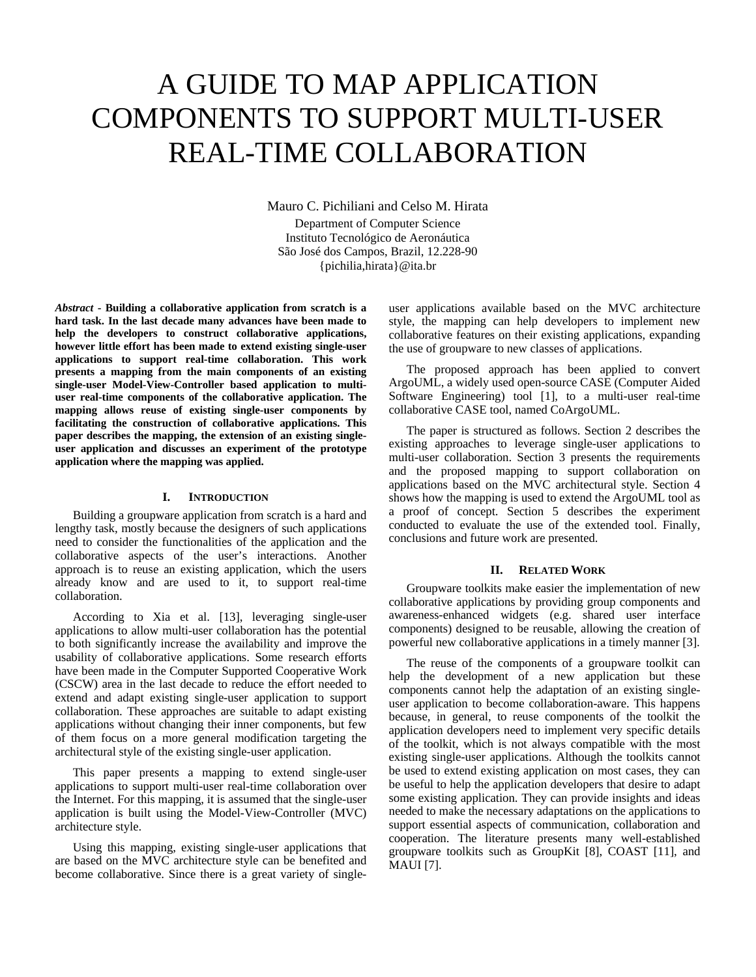# A GUIDE TO MAP APPLICATION COMPONENTS TO SUPPORT MULTI-USER REAL-TIME COLLABORATION

Mauro C. Pichiliani and Celso M. Hirata Department of Computer Science Instituto Tecnológico de Aeronáutica São José dos Campos, Brazil, 12.228-90 {pichilia,hirata}@ita.br

*Abstract* **- Building a collaborative application from scratch is a hard task. In the last decade many advances have been made to** style, the mapping can help developers to implement new **help the developers to construct collaborative applications,** collaborative features on their existing applications, expanding however little effort has been made to extend existing single-user<br>applications to support real-time collaboration. This work **presents a mapping from the main components of an existing single-user Model-View-Controller based application to multi-** ArgoUML, a widely used open-source CASE (Computer Aided **user real-time components of the collaborative application. The mapping allows reuse of existing single-user components by facilitating the construction of collaborative applications. This paper describes the mapping, the extension of an existing single user application and discusses an experiment of the prototype application where the mapping was applied.**

Building a groupware application from scratch is a hard and lengthy task, mostly because the designers of such applications need to consider the functionalities of the application and the collaborative aspects of the user's interactions. Another approach is to reuse an existing application, which the users **II. RELATED WORK** already know and are used to it, to support real-time

According to Xia et al. [13], leveraging single-user applications to allow multi-user collaboration has the potential components) designed to be reusable, allowing the creation of to both significantly increase the availability and improve the powerful new collaborative appl to both significantly increase the availability and improve the usability of collaborative applications. Some research efforts<br>The reuse of the components of a groupware toolkit can have been made in the Computer Supported Cooperative Work (CSCW) area in the last decade to reduce the effort needed to extend and adapt existing single-user application to support collaboration. These approaches are suitable to adapt existing applications without changing their inner components, but few of them focus on a more general modification targeting the architectural style of the existing single-user application.

This paper presents a mapping to extend single-user applications to support multi-user real-time collaboration over the Internet. For this mapping, it is assumed that the single-user application is built using the Model-View-Controller (MVC)

Using this mapping, existing single-user applications that are based on the MVC architecture style can be benefited and become collaborative. Since there is a great variety of singlethe use of groupware to new classes of applications.

The proposed approach has been applied to convert Software Engineering) tool [1], to a multi-user real-time collaborative CASE tool, named CoArgoUML.

**I. INTRODUCTION** shows how the mapping is used to extend the ArgoUML tool as The paper is structured as follows. Section 2 describes the existing approaches to leverage single-user applications to multi-user collaboration. Section 3 presents the requirements and the proposed mapping to support collaboration on applications based on the MVC architectural style. Section 4 a proof of concept. Section 5 describes the experiment conducted to evaluate the use of the extended tool. Finally, conclusions and future work are presented.

# **II. RELATED WORK**

collaboration.<br>
collaborative applications by providing group components and Groupware toolkits make easier the implementation of new awareness-enhanced widgets (e.g. shared user interface components) designed to be reusable, allowing the creation of powerful new collaborative applications in a timely manner [3].<br>The reuse of the components of a groupware toolkit can

architecture style. support essential aspects of communication, collaboration and become collaborative application from the since there is a user applications could<br>be the collaborative operations are the since the since there is a great variety of single-<br>particular form of the single energy density o help the development of a new application but these components cannot help the adaptation of an existing single user application to become collaboration-aware. This happens because, in general, to reuse components of the toolkit the application developers need to implement very specific details of the toolkit, which is not always compatible with the most existing single-user applications. Although the toolkits cannot be used to extend existing application on most cases, they can be useful to help the application developers that desire to adapt some existing application. They can provide insights and ideas needed to make the necessary adaptations on the applications to cooperation. The literature presents many well-established groupware toolkits such as GroupKit [8], COAST [11], and MAUI [7].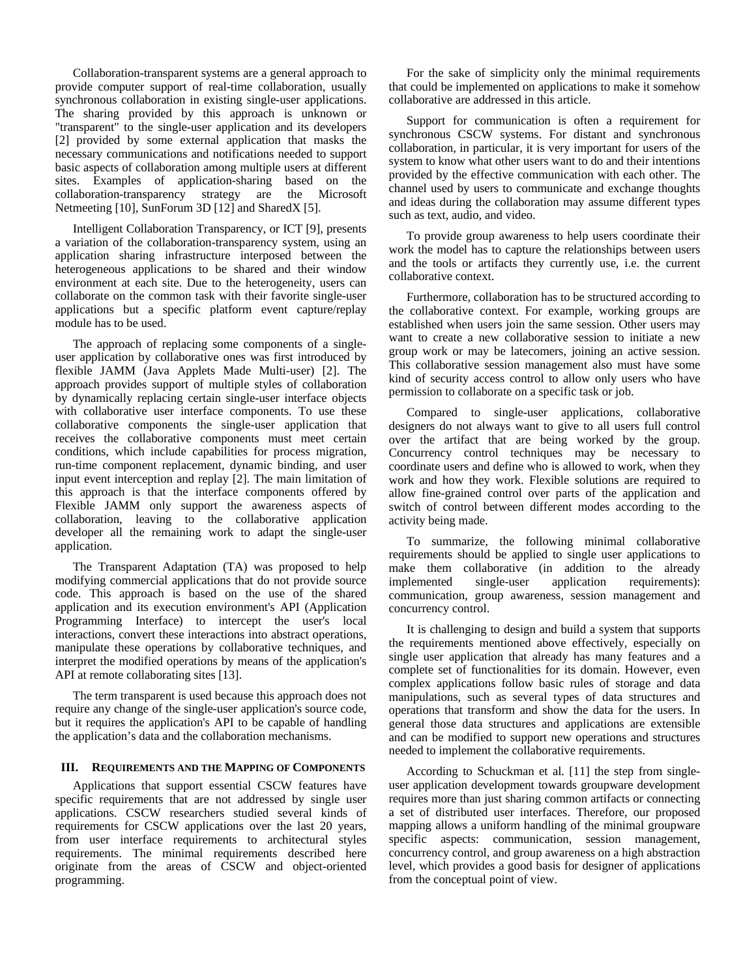provide computer support of real-time collaboration, usually that could be implemented on applications to make it somehow synchronous collaboration in existing single-user applications. The sharing provided by this approach is unknown or "transparent" to the single-user application and its developers [2] provided by some external application that masks the necessary communications and notifications needed to support basic aspects of collaboration among multiple users at different sites. Examples of application-sharing based on the collaboration-transparency strategy are the Microsoft Netmeeting [10], SunForum 3D [12] and SharedX [5].

Intelligent Collaboration Transparency, or ICT [9], presents a variation of the collaboration-transparency system, using an application sharing infrastructure interposed between the heterogeneous applications to be shared and their window environment at each site. Due to the heterogeneity, users can collaborate on the common task with their favorite single-user Furthermore, collaboration has to be structured according to applications but a specific platform event capture/replay the collaborative context. For example, working groups are

The approach of replacing some components of a single user application by collaborative ones was first introduced by flexible JAMM (Java Applets Made Multi-user) [2]. The approach provides support of multiple styles of collaboration by dynamically replacing certain single-user interface objects with collaborative user interface components. To use these Compared to single-user applications, collaborative collaborative components the single-user application that receives the collaborative components must meet certain over the artifact that are being worked by the group. conditions, which include capabilities for process migration, Concurrency control techniques may be necessary to run-time component replacement, dynamic binding, and user coordinate users and define who is allowed to work, when they input event interception and replay [2]. The main limitation of work and how they work. Flexible solutions are required to this approach is that the interface components offered by allow fine-grained control over parts of the application and Flexible JAMM only support the awareness aspects of collaboration, leaving to the collaborative application developer all the remaining work to adapt the single-user application. To summarize, the following minimal collaborative

modifying commercial applications that do not provide source implemented single-user application requirements): code. This approach is based on the use of the shared application and its execution environment's API (Application Programming Interface) to intercept the user's local interactions, convert these interactions into abstract operations, manipulate these operations by collaborative techniques, and interpret the modified operations by means of the application's API at remote collaborating sites [13].

# **III. REQUIREMENTS AND THE MAPPING OF COMPONENTS**

Applications that support essential CSCW features have specific requirements that are not addressed by single user requires more than just sharing common artifacts or connecting applications. CSCW researchers studied several kinds of requirements for CSCW applications over the last 20 years, from user interface requirements to architectural styles requirements. The minimal requirements described here originate from the areas of CSCW and object-oriented programming. from the conceptual point of view.

Collaboration-transparent systems are a general approach to For the sake of simplicity only the minimal requirements collaborative are addressed in this article.

> Support for communication is often a requirement for synchronous CSCW systems. For distant and synchronous collaboration, in particular, it is very important for users of the system to know what other users want to do and their intentions provided by the effective communication with each other. The channel used by users to communicate and exchange thoughts and ideas during the collaboration may assume different types such as text, audio, and video.

> To provide group awareness to help users coordinate their work the model has to capture the relationships between users and the tools or artifacts they currently use, i.e. the current collaborative context.

module has to be used. established when users join the same session. Other users may want to create a new collaborative session to initiate a new group work or may be latecomers, joining an active session. This collaborative session management also must have some kind of security access control to allow only users who have permission to collaborate on a specific task or job.

> designers do not always want to give to all users full control switch of control between different modes according to the activity being made.

The Transparent Adaptation (TA) was proposed to help make them collaborative (in addition to the already requirements should be applied to single user applications to implemented single-user application requirements): communication, group awareness, session management and concurrency control.

The term transparent is used because this approach does not manipulations, such as several types of data structures and require any change of the single-user application's source code, operations that transform and show the data for the users. In but it requires the application's API to be capable of handling general those data structures and applications are extensible the application's data and the collaboration mechanisms. and can be modified to support new operations and structures It is challenging to design and build a system that supports the requirements mentioned above effectively, especially on single user application that already has many features and a complete set of functionalities for its domain. However, even complex applications follow basic rules of storage and data needed to implement the collaborative requirements.

> According to Schuckman et al. [11] the step from single user application development towards groupware development a set of distributed user interfaces. Therefore, our proposed mapping allows a uniform handling of the minimal groupware specific aspects: communication, session management, concurrency control, and group awareness on a high abstraction level, which provides a good basis for designer of applications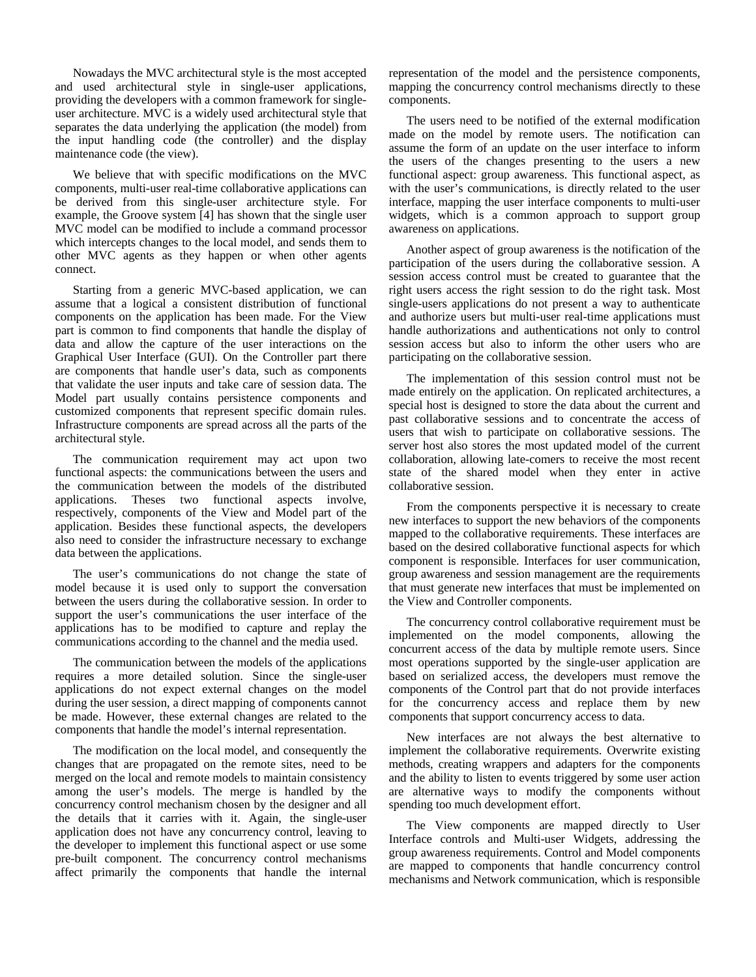and used architectural style in single-user applications, providing the developers with a common framework for single-<br>components. user architecture. MVC is a widely used architectural style that separates the data underlying the application (the model) from the input handling code (the controller) and the display

MVC model can be modified to include a command processor which intercepts changes to the local model, and sends them to other MVC agents as they happen or when other agents

data and allow the capture of the user interactions on the Graphical User Interface (GUI). On the Controller part there are components that handle user's data, such as components that validate the user inputs and take care of session data. The Model part usually contains persistence components and customized components that represent specific domain rules. Infrastructure components are spread across all the parts of the

functional aspects: the communications between the users and state of the shared model when they enter in active the communication between the models of the distributed applications. Theses two functional aspects involve, respectively, components of the View and Model part of the application. Besides these functional aspects, the developers also need to consider the infrastructure necessary to exchange

model because it is used only to support the conversation between the users during the collaborative session. In order to support the user's communications the user interface of the applications has to be modified to capture and replay the communications according to the channel and the media used.

The communication between the models of the applications during the user session, a direct mapping of components cannot be made. However, these external changes are related to the components that handle the model's internal representation.

concurrency control mechanism chosen by the designer and all the details that it carries with it. Again, the single-user application does not have any concurrency control, leaving to the developer to implement this functional aspect or use some pre-built component. The concurrency control mechanisms affect primarily the components that handle the internal

Nowadays the MVC architectural style is the most accepted representation of the model and the persistence components, mapping the concurrency control mechanisms directly to these components.

maintenance code (the view).<br>the users of the changes presenting to the users a new We believe that with specific modifications on the MVC functional aspect: group awareness. This functional aspect, as components, multi-user real-time collaborative applications can with the user's communications, is directly related to the user be derived from this single-user architecture style. For interface, mapping the user interface components to multi-user example, the Groove system [4] has shown that the single user widgets, which is a common approach to support group The users need to be notified of the external modification made on the model by remote users. The notification can assume the form of an update on the user interface to inform awareness on applications.

connect.<br>
session access control must be created to guarantee that the Starting from a generic MVC-based application, we can right users access the right session to do the right task. Most assume that a logical a consistent distribution of functional single-users applications do not present a way to authenticate components on the application has been made. For the View and authorize users but multi-user real-time applications must part is common to find components that handle thedisplay of handle authorizations and authentications not only to control Another aspect of group awareness is the notification of the participation of the users during the collaborative session. A session access but also to inform the other users who are participating on the collaborative session.

architectural style.<br>
server host also stores the most updated model of the current The communication requirement may act upon two collaboration, allowing late-comers to receive the most recent The implementation of this session control must not be made entirely on the application. On replicated architectures, a special host is designed to store the data about the current and past collaborative sessions and to concentrate the access of users that wish to participate on collaborative sessions. The collaborative session.

data between the applications.<br>
component is responsible. Interfaces for user communication, The user's communications do not change the state of group awareness and session management are therequirements From the components perspective it is necessary to create new interfaces to support the new behaviors of the components mapped to the collaborative requirements. These interfaces are based on the desired collaborative functional aspects for which that must generate new interfaces that must be implemented on the View and Controller components.

requires a more detailed solution. Since the single-user based on serialized access, the developers must remove the applications do not expect external changes on the model components of the Control part that do not provide interfaces The concurrency control collaborative requirement must be implemented on the model components, allowing the concurrent access of the data by multiple remote users. Since most operations supported by the single-user application are for the concurrency access and replace them by new components that support concurrency access to data.

The modification on the local model, and consequently the implement the collaborative requirements. Overwrite existing changes that are propagated on the remote sites, need to be methods, creating wrappers and adapters for the components merged on the local and remote models to maintain consistency and the ability to listen to events triggered by some user action among the user's models. The merge is handled by the are alternativeways to modify the components without New interfaces are not always the best alternative to spending too much development effort.

> The View components are mapped directly to User Interface controls and Multi-user Widgets, addressing the group awareness requirements. Control and Model components are mapped to components that handle concurrency control mechanisms and Network communication, which is responsible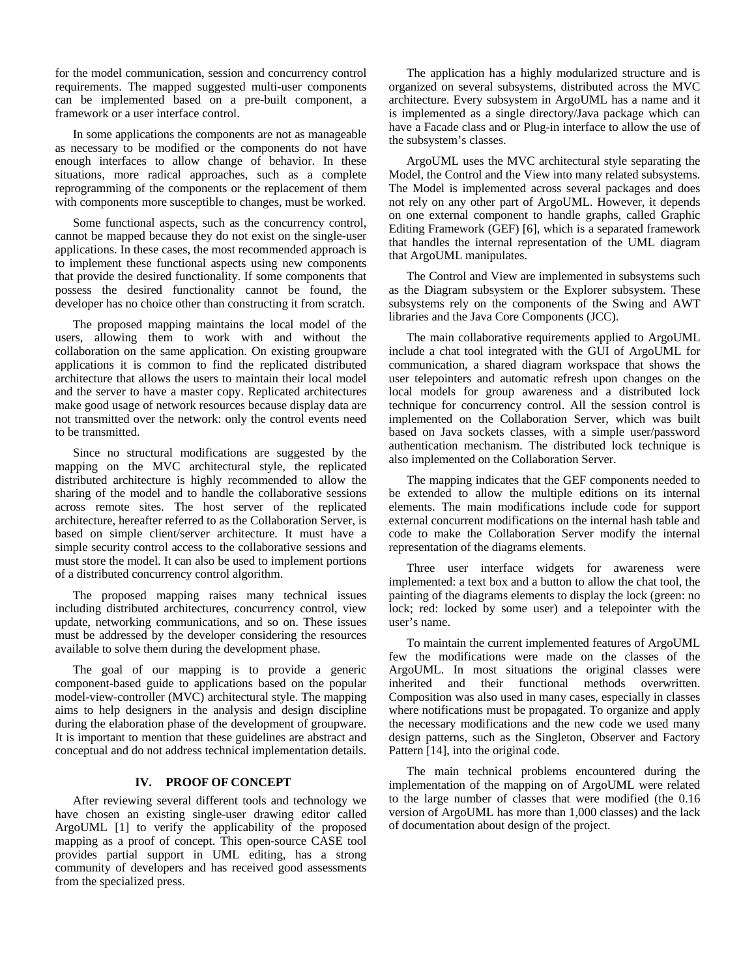for the model communication, session and concurrency control

In some applications the components are not as manageable as necessary to be modified or the components do not have enough interfaces to allow change of behavior. In these

Some functional aspects, such as the concurrency control, cannot be mapped because they do not exist on the single-user applications. In these cases, the most recommended approach is to implement these functional aspects using new components that provide the desired functionality. If some components that possess the desired functionality cannot be found, the

The proposed mapping maintains the local model of the users, allowing them to work with and without the collaboration on the same application. On existing groupware include a chat tool integrated with the GUI of ArgoUML for applications it is common to find the replicated distributed communication, a shared diagram workspace that shows the architecture that allows the users to maintain their local model user telepointers and automatic refresh upon changes on the and the server to have a master copy. Replicated architectures local models for group awareness and a distributed lock make good usage of network resources because display data are technique for concurrency control. All the session control is not transmitted over the network: only the control events need implemented on the Collaboration Server, which was built

Since no structural modifications are suggested by the mapping on the MVC architectural style, the replicated distributed architecture is highly recommended to allow the based on simple client/server architecture. It must have a simple security control access to the collaborative sessions and must store the model. It can also be used to implement portions of a distributed concurrency control algorithm.

update, networking communications, and so on. These issues must be addressed by the developer considering the resources available to solve them during the development phase.

component-based guide to applications based on the popular inherited and their functional methods overwritten. model-view-controller (MVC) architectural style. The mapping Composition was also used in many cases, especially in classes aims to help designers in the analysis and design discipline where notifications must be propagated. To organize and apply during the elaboration phase of the development of groupware. the necessary modifications and the new code we used many It is important to mention that these guidelines are abstract and design patterns, such as the Singleton, Observer and Factory conceptual and do not address technical implementation details.

After reviewing several different tools and technology we have chosen an existing single-user drawing editor called ArgoUML [1] to verify the applicability of the proposed mapping as a proof of concept. This open-source CASE tool provides partial support in UML editing, has a strong community of developers and has received good assessments from the specialized press.

requirements. The mapped suggested multi-user components organized on several subsystems, distributed across the MVC can be implemented based on a pre-built component, a architecture. Every subsystem in ArgoUML has a name and it framework or a user interface control. is implemented as a single directory/Java package which can The application has a highly modularized structure and is have a Facade class and or Plug-in interface to allow the use of the subsystem's classes.

situations, more radical approaches, such as a complete Model, the Control and the View into many related subsystems. reprogramming of the components or the replacement of them The Model is implemented across several packages and does with components more susceptible to changes, must be worked. In ot rely on any other part of ArgoUML. However, it depends ArgoUML uses the MVC architectural style separating the on one external component to handle graphs, called Graphic Editing Framework (GEF) [6], which is a separated framework that handles the internal representation of the UML diagram that ArgoUML manipulates.

possess the desired functionality cannot be found, the as the Diagram subsystem or the Explorer subsystem. These developer has no choice other than constructing it from scratch. subsystems rely on the components of the Swing and AWT The Control and View are implemented in subsystems such libraries and the Java Core Components (JCC).

to be transmitted. based on Java sockets classes, with a simple user/password The main collaborative requirements applied to ArgoUML authentication mechanism. The distributed lock technique is also implemented on the Collaboration Server.

sharing of the model and to handle the collaborative sessions be extended to allow the multiple editions on its internal across remote sites. The host server of the replicated elements.The main modifications include code for support architecture, hereafter referred to as the Collaboration Server, is external concurrent modifications on the internal hash table and The mapping indicates that the GEF components needed to code to make the Collaboration Server modify the internal representation of the diagrams elements.

The proposed mapping raises many technical issues painting of the diagrams elements to display the lock (green: no including distributed architectures, concurrency control, view lock; red: locked by some user) and a telepointer with the Three user interface widgets for awareness were implemented: a text box and a button to allow the chat tool, the user's name.

The goal of our mapping is to provide a generic ArgoUML. In most situations the original classes were To maintain the current implemented features of ArgoUML few the modifications were made on the classes of the their functional methods Pattern [14], into the original code.

**IV. PROOF OF CONCEPT** implementation of the mapping on of ArgoUML were related The main technical problems encountered during the to the large number of classes that were modified (the 0.16 version of ArgoUML has more than 1,000 classes) and the lack of documentation about design of the project.